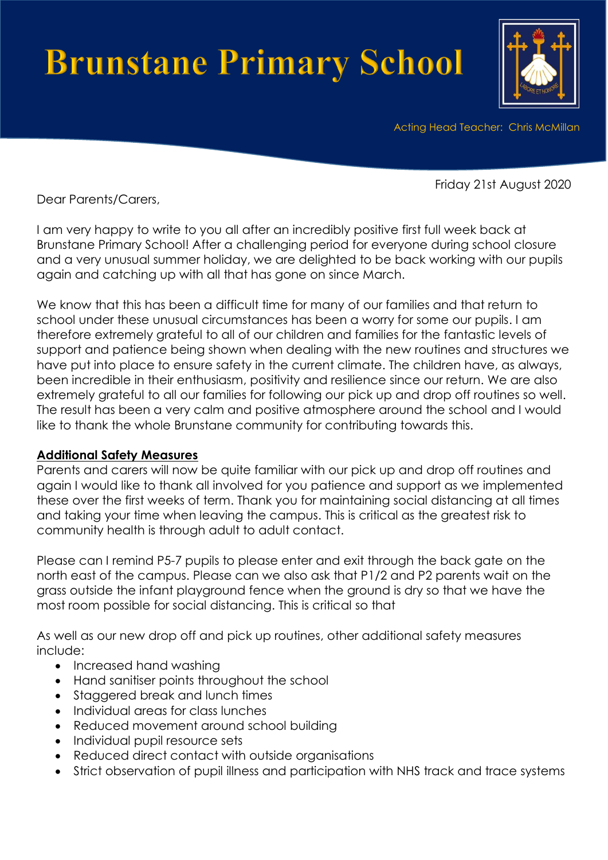# **Brunstane Primary School**



Acting Head Teacher: Chris McMillan

Friday 21st August 2020

Dear Parents/Carers,

I am very happy to write to you all after an incredibly positive first full week back at Brunstane Primary School! After a challenging period for everyone during school closure and a very unusual summer holiday, we are delighted to be back working with our pupils again and catching up with all that has gone on since March.

We know that this has been a difficult time for many of our families and that return to school under these unusual circumstances has been a worry for some our pupils. I am therefore extremely grateful to all of our children and families for the fantastic levels of support and patience being shown when dealing with the new routines and structures we have put into place to ensure safety in the current climate. The children have, as always, been incredible in their enthusiasm, positivity and resilience since our return. We are also extremely grateful to all our families for following our pick up and drop off routines so well. The result has been a very calm and positive atmosphere around the school and I would like to thank the whole Brunstane community for contributing towards this.

#### **Additional Safety Measures**

Parents and carers will now be quite familiar with our pick up and drop off routines and again I would like to thank all involved for you patience and support as we implemented these over the first weeks of term. Thank you for maintaining social distancing at all times and taking your time when leaving the campus. This is critical as the greatest risk to community health is through adult to adult contact.

Please can I remind P5-7 pupils to please enter and exit through the back gate on the north east of the campus. Please can we also ask that P1/2 and P2 parents wait on the grass outside the infant playground fence when the ground is dry so that we have the most room possible for social distancing. This is critical so that

As well as our new drop off and pick up routines, other additional safety measures include:

- Increased hand washing
- Hand sanitiser points throughout the school
- Staggered break and lunch times
- Individual areas for class lunches
- Reduced movement around school building
- Individual pupil resource sets
- Reduced direct contact with outside organisations
- Strict observation of pupil illness and participation with NHS track and trace systems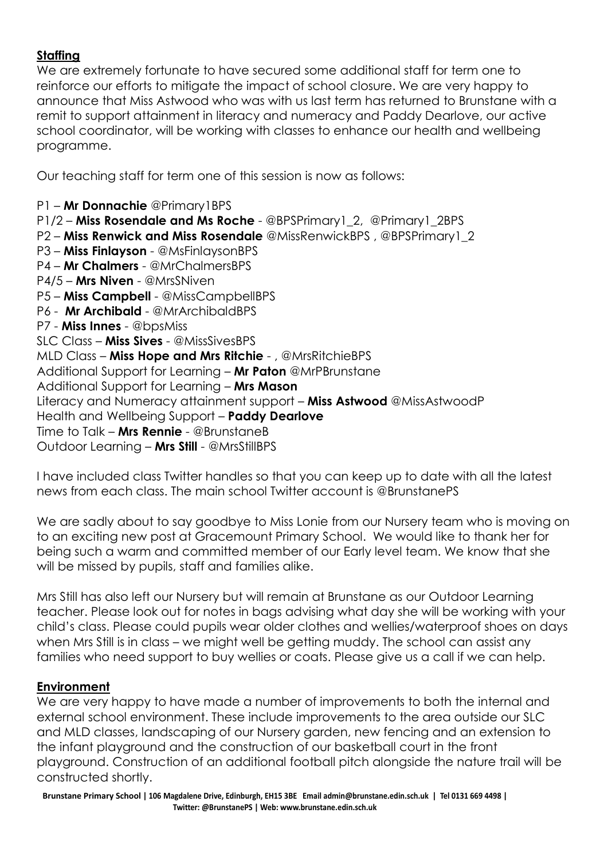# **Staffing**

We are extremely fortunate to have secured some additional staff for term one to reinforce our efforts to mitigate the impact of school closure. We are very happy to announce that Miss Astwood who was with us last term has returned to Brunstane with a remit to support attainment in literacy and numeracy and Paddy Dearlove, our active school coordinator, will be working with classes to enhance our health and wellbeing programme.

Our teaching staff for term one of this session is now as follows:

P1 – **Mr Donnachie** @Primary1BPS P1/2 – **Miss Rosendale and Ms Roche** - @BPSPrimary1\_2, @Primary1\_2BPS P2 – **Miss Renwick and Miss Rosendale** @MissRenwickBPS , @BPSPrimary1\_2 P3 – **Miss Finlayson** - @MsFinlaysonBPS P4 – **Mr Chalmers** - @MrChalmersBPS P4/5 – **Mrs Niven** - @MrsSNiven P5 – **Miss Campbell** - @MissCampbellBPS P6 - **Mr Archibald** - @MrArchibaldBPS P7 - **Miss Innes** - @bpsMiss SLC Class – **Miss Sives** - @MissSivesBPS MLD Class – **Miss Hope and Mrs Ritchie** - , @MrsRitchieBPS Additional Support for Learning – **Mr Paton** @MrPBrunstane Additional Support for Learning – **Mrs Mason** Literacy and Numeracy attainment support – **Miss Astwood** @MissAstwoodP Health and Wellbeing Support – **Paddy Dearlove** Time to Talk – **Mrs Rennie** - @BrunstaneB Outdoor Learning – **Mrs Still** - @MrsStillBPS

I have included class Twitter handles so that you can keep up to date with all the latest news from each class. The main school Twitter account is @BrunstanePS

We are sadly about to say goodbye to Miss Lonie from our Nursery team who is moving on to an exciting new post at Gracemount Primary School. We would like to thank her for being such a warm and committed member of our Early level team. We know that she will be missed by pupils, staff and families alike.

Mrs Still has also left our Nursery but will remain at Brunstane as our Outdoor Learning teacher. Please look out for notes in bags advising what day she will be working with your child's class. Please could pupils wear older clothes and wellies/waterproof shoes on days when Mrs Still is in class – we might well be getting muddy. The school can assist any families who need support to buy wellies or coats. Please give us a call if we can help.

#### **Environment**

We are very happy to have made a number of improvements to both the internal and external school environment. These include improvements to the area outside our SLC and MLD classes, landscaping of our Nursery garden, new fencing and an extension to the infant playground and the construction of our basketball court in the front playground. Construction of an additional football pitch alongside the nature trail will be constructed shortly.

**Brunstane Primary School | 106 Magdalene Drive, Edinburgh, EH15 3BE Email admin@brunstane.edin.sch.uk | Tel 0131 669 4498 | Twitter: @BrunstanePS | Web: www.brunstane.edin.sch.uk**